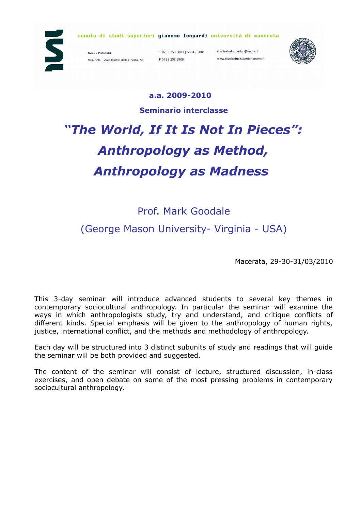

scuola di studi superiori giacomo leopardi università di macerata

62100 Macerata Villa Cola | Viale Martiri della Libertà, 59

T 0733 258 5803 | 5804 | 5801 scuolastudisuperiori@unimc.it F 0733 258 5808

www.scuolastudisuperiori.unimc.it



#### **a.a. 2009-2010**

**Seminario interclasse**

# *"The World, If It Is Not In Pieces": Anthropology as Method, Anthropology as Madness*

## Prof. Mark Goodale (George Mason University- Virginia - USA)

Macerata, 29-30-31/03/2010

This 3-day seminar will introduce advanced students to several key themes in contemporary sociocultural anthropology. In particular the seminar will examine the ways in which anthropologists study, try and understand, and critique conflicts of different kinds. Special emphasis will be given to the anthropology of human rights, justice, international conflict, and the methods and methodology of anthropology.

Each day will be structured into 3 distinct subunits of study and readings that will guide the seminar will be both provided and suggested.

The content of the seminar will consist of lecture, structured discussion, in-class exercises, and open debate on some of the most pressing problems in contemporary sociocultural anthropology.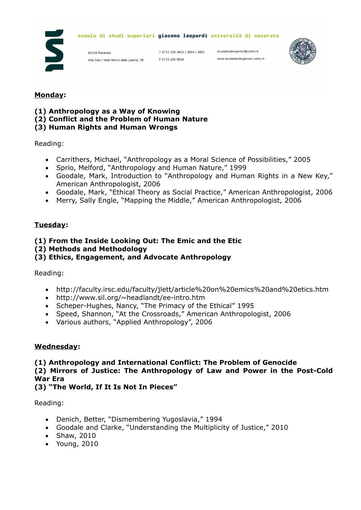

#### scuola di studi superiori giacomo leopardi università di macerata

62100 Macerata Villa Cola | Viale Martiri della Libertà, 59

T 0733 258 5803 | 5804 | 5801 F 0733 258 5808

scuolastudisuperiori@unimc.it www.scuolastudisuperiori.unimc.it



#### **Monday:**

- **(1) Anthropology as a Way of Knowing**
- **(2) Conflict and the Problem of Human Nature**

#### **(3) Human Rights and Human Wrongs**

Reading:

- Carrithers, Michael, "Anthropology as a Moral Science of Possibilities," 2005
- Sprio, Melford, "Anthropology and Human Nature," 1999
- Goodale, Mark, Introduction to "Anthropology and Human Rights in a New Key," American Anthropologist, 2006
- Goodale, Mark, "Ethical Theory as Social Practice," American Anthropologist, 2006
- Merry, Sally Engle, "Mapping the Middle," American Anthropologist, 2006

#### **Tuesday:**

#### **(1) From the Inside Looking Out: The Emic and the Etic**

#### **(2) Methods and Methodology**

#### **(3) Ethics, Engagement, and Advocate Anthropology**

Reading:

- http://faculty.irsc.edu/faculty/jlett/article%20on%20emics%20and%20etics.htm
- http://www.sil.org/~headlandt/ee-intro.htm
- Scheper-Hughes, Nancy, "The Primacy of the Ethical" 1995
- Speed, Shannon, "At the Crossroads," American Anthropologist, 2006
- Various authors, "Applied Anthropology", 2006

#### **Wednesday:**

**(1) Anthropology and International Conflict: The Problem of Genocide (2) Mirrors of Justice: The Anthropology of Law and Power in the Post-Cold War Era**

**(3) "The World, If It Is Not In Pieces"**

Reading:

- Denich, Better, "Dismembering Yugoslavia," 1994
- Goodale and Clarke, "Understanding the Multiplicity of Justice," 2010
- Shaw, 2010
- Young, 2010